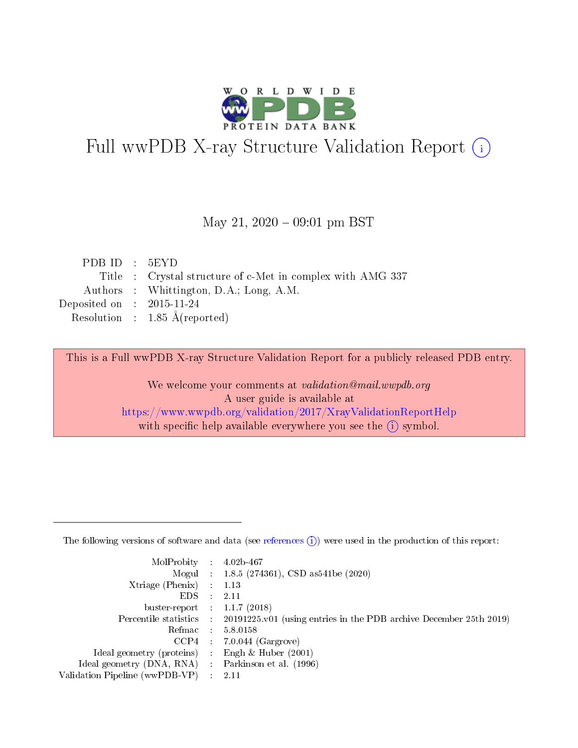

# Full wwPDB X-ray Structure Validation Report (i)

#### May 21,  $2020 - 09:01$  pm BST

| PDBID : 5EYD                |                                                            |
|-----------------------------|------------------------------------------------------------|
|                             | Title : Crystal structure of c-Met in complex with AMG 337 |
|                             | Authors : Whittington, D.A.; Long, A.M.                    |
| Deposited on : $2015-11-24$ |                                                            |
|                             | Resolution : $1.85 \text{ Å}$ (reported)                   |

This is a Full wwPDB X-ray Structure Validation Report for a publicly released PDB entry.

We welcome your comments at validation@mail.wwpdb.org A user guide is available at <https://www.wwpdb.org/validation/2017/XrayValidationReportHelp> with specific help available everywhere you see the  $(i)$  symbol.

The following versions of software and data (see [references](https://www.wwpdb.org/validation/2017/XrayValidationReportHelp#references)  $(1)$ ) were used in the production of this report:

| MolProbity :                   |               | $4.02b - 467$                                                               |
|--------------------------------|---------------|-----------------------------------------------------------------------------|
|                                |               | Mogul : $1.8.5$ (274361), CSD as 541be (2020)                               |
| $X$ triage (Phenix) :          |               | 1.13                                                                        |
| EDS.                           |               | 2.11                                                                        |
| buster-report : $1.1.7$ (2018) |               |                                                                             |
| Percentile statistics :        |               | $20191225 \text{v}01$ (using entries in the PDB archive December 25th 2019) |
| Refmac :                       |               | 5.8.0158                                                                    |
| $CCP4$ :                       |               | $7.0.044$ (Gargrove)                                                        |
| Ideal geometry (proteins) :    |               | Engh $\&$ Huber (2001)                                                      |
| Ideal geometry (DNA, RNA) :    |               | Parkinson et al. (1996)                                                     |
| Validation Pipeline (wwPDB-VP) | $\mathcal{L}$ | 2.11                                                                        |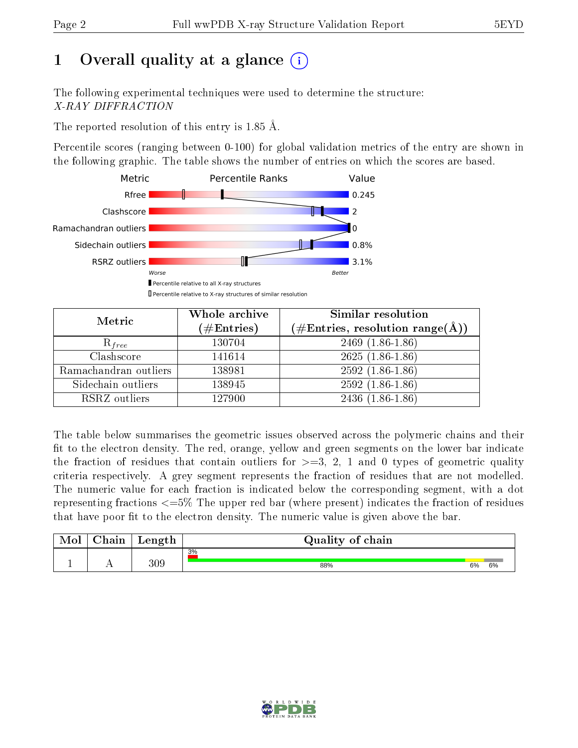## 1 [O](https://www.wwpdb.org/validation/2017/XrayValidationReportHelp#overall_quality)verall quality at a glance  $(i)$

The following experimental techniques were used to determine the structure: X-RAY DIFFRACTION

The reported resolution of this entry is 1.85 Å.

Percentile scores (ranging between 0-100) for global validation metrics of the entry are shown in the following graphic. The table shows the number of entries on which the scores are based.



| Metric                | Whole archive<br>$(\#\mathrm{Entries})$ | Similar resolution<br>$(\#\text{Entries},\,\text{resolution}\,\,\text{range}(\textup{\AA}))$ |  |  |
|-----------------------|-----------------------------------------|----------------------------------------------------------------------------------------------|--|--|
| $R_{free}$            | 130704                                  | $2469(1.86-1.86)$                                                                            |  |  |
| Clashscore            | 141614                                  | $2625(1.86-1.86)$                                                                            |  |  |
| Ramachandran outliers | 138981                                  | $2592(1.86-1.86)$                                                                            |  |  |
| Sidechain outliers    | 138945                                  | $2592(1.86-1.86)$                                                                            |  |  |
| RSRZ outliers         | 127900                                  | $2436(1.86-1.86)$                                                                            |  |  |

The table below summarises the geometric issues observed across the polymeric chains and their fit to the electron density. The red, orange, yellow and green segments on the lower bar indicate the fraction of residues that contain outliers for  $>=3, 2, 1$  and 0 types of geometric quality criteria respectively. A grey segment represents the fraction of residues that are not modelled. The numeric value for each fraction is indicated below the corresponding segment, with a dot representing fractions  $\epsilon=5\%$  The upper red bar (where present) indicates the fraction of residues that have poor fit to the electron density. The numeric value is given above the bar.

| Mol | $\cap$ hain | Length | Quality of chain |    |    |
|-----|-------------|--------|------------------|----|----|
|     |             |        | 3%               |    |    |
|     |             | 309    | 88%              | 6% | 6% |

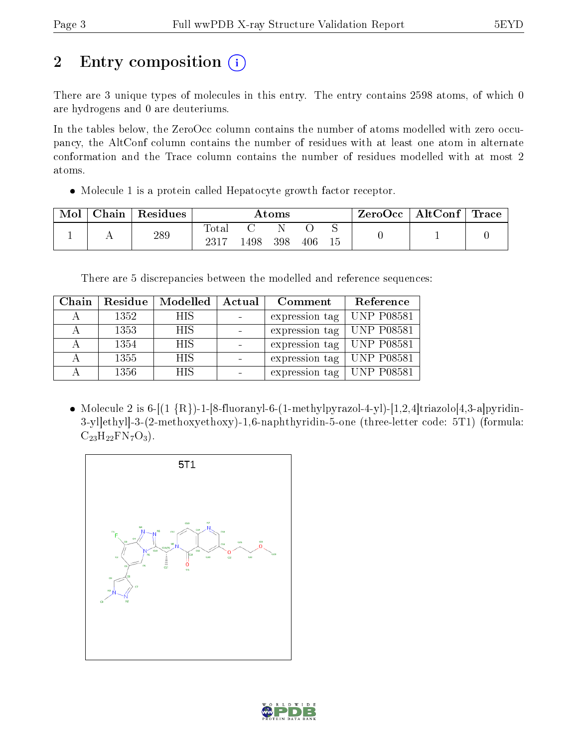# 2 Entry composition (i)

There are 3 unique types of molecules in this entry. The entry contains 2598 atoms, of which 0 are hydrogens and 0 are deuteriums.

In the tables below, the ZeroOcc column contains the number of atoms modelled with zero occupancy, the AltConf column contains the number of residues with at least one atom in alternate conformation and the Trace column contains the number of residues modelled with at most 2 atoms.

Molecule 1 is a protein called Hepatocyte growth factor receptor.

| Mol | Chain | Residues | $\rm{Atoms}$ |     |     |     |  | ZeroOcc | $\mid$ AltConf $\mid$ Trace |  |
|-----|-------|----------|--------------|-----|-----|-----|--|---------|-----------------------------|--|
|     |       | 289      | Fotal        | 498 | 398 | 406 |  |         |                             |  |

There are 5 discrepancies between the modelled and reference sequences:

| Chain                   | Residue | Modelled   | Actual | Comment        | Reference         |
|-------------------------|---------|------------|--------|----------------|-------------------|
|                         | 1352    | <b>HIS</b> |        | expression tag | <b>UNP P08581</b> |
| $\overline{\mathsf{A}}$ | 1353    | <b>HIS</b> |        | expression tag | <b>UNP P08581</b> |
| А                       | 1354    | <b>HIS</b> |        | expression tag | <b>UNP P08581</b> |
| А                       | 1355    | <b>HIS</b> |        | expression tag | <b>UNP P08581</b> |
|                         | 1356    | <b>HIS</b> |        | expression tag | <b>UNP P08581</b> |

• Molecule 2 is  $6-[1 \{R\}]-1-[8-fluoranyl-6-(1-methylpyrazol-4-yl)-[1,2,4]triazol-4,3-a]pyridin-$ 3-yl]ethyl]-3-(2-methoxyethoxy)-1,6-naphthyridin-5-one (three-letter code: 5T1) (formula:  $C_{23}H_{22}FN_7O_3$ .



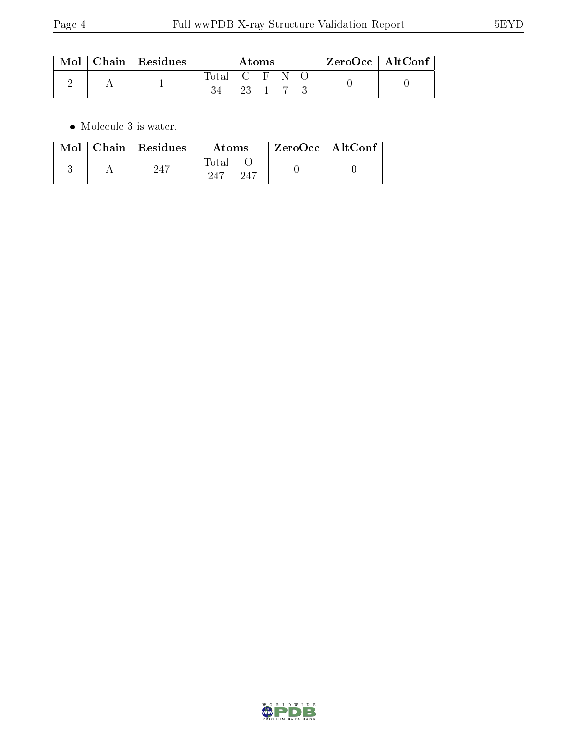|  | $\text{Mol}$   Chain   Residues | Atoms         |  |        | $\mathsf{ZeroOcc} \mid \mathsf{AltConf} \mid$ |  |  |
|--|---------------------------------|---------------|--|--------|-----------------------------------------------|--|--|
|  |                                 | Total C F N O |  |        |                                               |  |  |
|  |                                 |               |  | 23 1 7 |                                               |  |  |

 $\bullet\,$  Molecule 3 is water.

| Mol | $\mid$ Chain $\mid$ Residues | Atoms               | $ZeroOcc \   \$ AltConf |  |
|-----|------------------------------|---------------------|-------------------------|--|
|     | 247                          | Total<br>247<br>247 |                         |  |

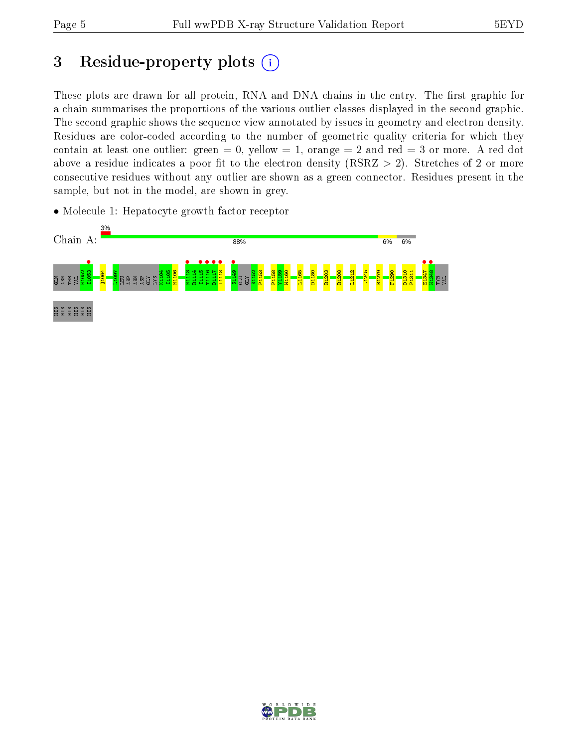## 3 Residue-property plots  $(i)$

These plots are drawn for all protein, RNA and DNA chains in the entry. The first graphic for a chain summarises the proportions of the various outlier classes displayed in the second graphic. The second graphic shows the sequence view annotated by issues in geometry and electron density. Residues are color-coded according to the number of geometric quality criteria for which they contain at least one outlier: green  $= 0$ , yellow  $= 1$ , orange  $= 2$  and red  $= 3$  or more. A red dot above a residue indicates a poor fit to the electron density (RSRZ  $> 2$ ). Stretches of 2 or more consecutive residues without any outlier are shown as a green connector. Residues present in the sample, but not in the model, are shown in grey.

• Molecule 1: Hepatocyte growth factor receptor



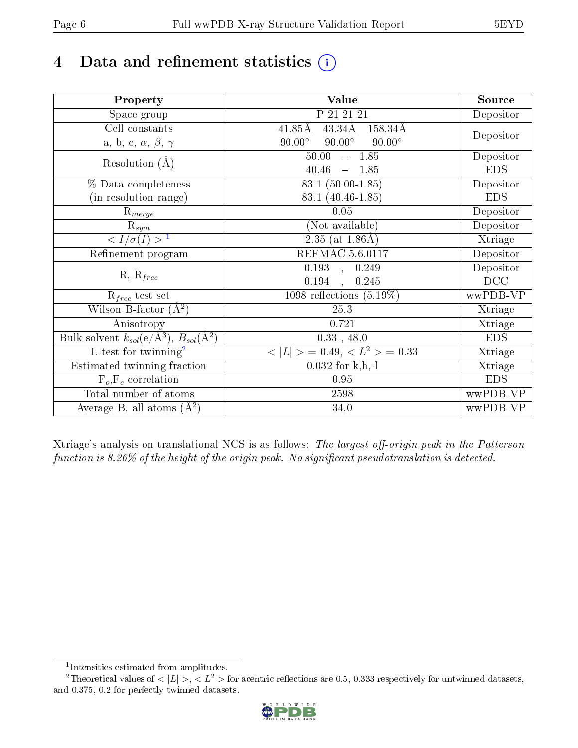## 4 Data and refinement statistics  $(i)$

| Property                                                             | Value                                             | Source     |
|----------------------------------------------------------------------|---------------------------------------------------|------------|
| Space group                                                          | P 21 21 21                                        | Depositor  |
| Cell constants                                                       | $43.34\text{\AA}$<br>$41.85\text{\AA}$<br>158.34Å |            |
| a, b, c, $\alpha$ , $\beta$ , $\gamma$                               | $90.00^\circ$<br>$90.00^\circ$<br>$90.00^\circ$   | Depositor  |
| Resolution $(A)$                                                     | $-1.85$<br>50.00                                  | Depositor  |
|                                                                      | 40.46<br>$-1.85$                                  | <b>EDS</b> |
| % Data completeness                                                  | 83.1 (50.00-1.85)                                 | Depositor  |
| (in resolution range)                                                | 83.1 (40.46-1.85)                                 | <b>EDS</b> |
| $R_{merge}$                                                          | 0.05                                              | Depositor  |
| $\mathrm{R}_{sym}$                                                   | (Not available)                                   | Depositor  |
| $\sqrt{I/\sigma}(I) > 1$                                             | $2.35$ (at $1.86\text{\AA}$ )                     | Xtriage    |
| Refinement program                                                   | <b>REFMAC 5.6.0117</b>                            | Depositor  |
|                                                                      | $\overline{0.193}$ ,<br>0.249                     | Depositor  |
| $R, R_{free}$                                                        | 0.194<br>0.245                                    | DCC        |
| $R_{free}$ test set                                                  | 1098 reflections $(5.19\%)$                       | wwPDB-VP   |
| Wilson B-factor $(A^2)$                                              | 25.3                                              | Xtriage    |
| Anisotropy                                                           | 0.721                                             | Xtriage    |
| Bulk solvent $k_{sol}(e/\mathring{A}^3)$ , $B_{sol}(\mathring{A}^2)$ | $0.33$ , 48.0                                     | <b>EDS</b> |
| L-test for twinning <sup>2</sup>                                     | $\vert > \; = 0.49, \;  \; = 0.33$<br>< L         | Xtriage    |
| Estimated twinning fraction                                          | $0.032$ for k,h,-l                                | Xtriage    |
| $F_o, F_c$ correlation                                               | 0.95                                              | <b>EDS</b> |
| Total number of atoms                                                | 2598                                              | wwPDB-VP   |
| Average B, all atoms $(A^2)$                                         | 34.0                                              | wwPDB-VP   |

Xtriage's analysis on translational NCS is as follows: The largest off-origin peak in the Patterson function is  $8.26\%$  of the height of the origin peak. No significant pseudotranslation is detected.

<sup>&</sup>lt;sup>2</sup>Theoretical values of  $\langle |L| \rangle$ ,  $\langle L^2 \rangle$  for acentric reflections are 0.5, 0.333 respectively for untwinned datasets, and 0.375, 0.2 for perfectly twinned datasets.



<span id="page-5-1"></span><span id="page-5-0"></span><sup>1</sup> Intensities estimated from amplitudes.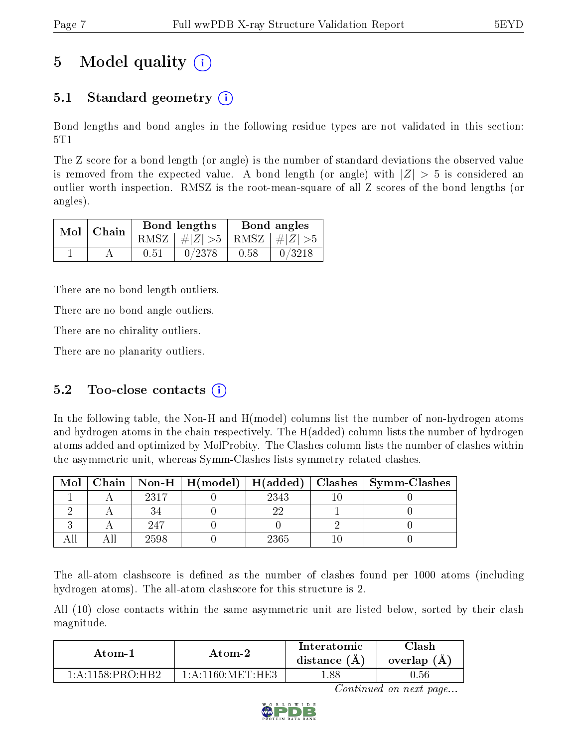## 5 Model quality  $(i)$

### 5.1 Standard geometry (i)

Bond lengths and bond angles in the following residue types are not validated in this section: 5T1

The Z score for a bond length (or angle) is the number of standard deviations the observed value is removed from the expected value. A bond length (or angle) with  $|Z| > 5$  is considered an outlier worth inspection. RMSZ is the root-mean-square of all Z scores of the bond lengths (or angles).

|  | $Mol$   Chain |      | Bond lengths                    | Bond angles |        |  |
|--|---------------|------|---------------------------------|-------------|--------|--|
|  |               |      | RMSZ $ #Z  > 5$ RMSZ $ #Z  > 5$ |             |        |  |
|  |               | 0.51 | 0/2378                          | 0.58        | 0/3218 |  |

There are no bond length outliers.

There are no bond angle outliers.

There are no chirality outliers.

There are no planarity outliers.

#### 5.2 Too-close contacts  $(i)$

In the following table, the Non-H and H(model) columns list the number of non-hydrogen atoms and hydrogen atoms in the chain respectively. The H(added) column lists the number of hydrogen atoms added and optimized by MolProbity. The Clashes column lists the number of clashes within the asymmetric unit, whereas Symm-Clashes lists symmetry related clashes.

| Mol |      |      | Chain   Non-H   H(model)   H(added)   Clashes   Symm-Clashes |
|-----|------|------|--------------------------------------------------------------|
|     | 2317 | 2343 |                                                              |
|     |      |      |                                                              |
|     | -947 |      |                                                              |
|     | 2598 | 2365 |                                                              |

The all-atom clashscore is defined as the number of clashes found per 1000 atoms (including hydrogen atoms). The all-atom clashscore for this structure is 2.

All (10) close contacts within the same asymmetric unit are listed below, sorted by their clash magnitude.

| Atom-2                                     |                         | Interatomic    | Clash       |
|--------------------------------------------|-------------------------|----------------|-------------|
| Atom-1                                     |                         | distance $(A)$ | overlap (A) |
| $1 \cdot A \cdot 1158 \cdot PR() \cdot HR$ | $1:$ A $:1160:$ MET HE3 | .88            | ).56        |

Continued on next page...

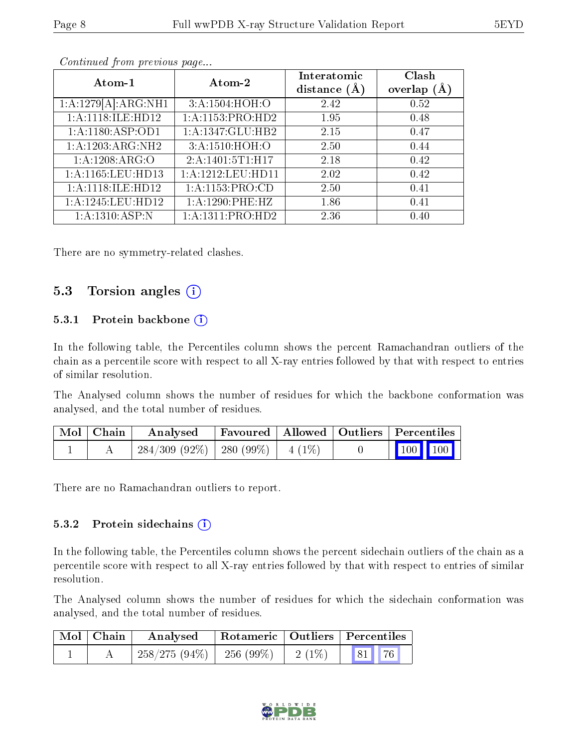| Atom-1                | Atom-2                        | Interatomic<br>distance $(A)$ | Clash<br>overlap $(A)$ |
|-----------------------|-------------------------------|-------------------------------|------------------------|
| 1:A:1279[A]:ARG:NH1   | 3:A:1504:HOH:O                | 2.42                          | 0.52                   |
| 1:A:1118:ILE:HD12     | 1:A:1153:PRO:HD2              | 1.95                          | 0.48                   |
| 1: A:1180: ASP:OD1    | 1:A:1347:GLU:HB2              | 2.15                          | 0.47                   |
| $1:$ A:1203:ARG:NH2   | 3:A:1510:HOH:O                | 2.50                          | 0.44                   |
| 1: A: 1208: ARG: O    | 2:A:1401:5T1:H17              | 2.18                          | 0.42                   |
| 1: A: 1165: LEU: HD13 | 1: A: 1212: LEU: HD11         | 2.02                          | 0.42                   |
| 1: A:1118: ILE: HD12  | 1: A: 1153: PRO: CD           | 2.50                          | 0.41                   |
| 1:A:1245:LEU:HD12     | 1: A: 1290: PHE: HZ           | 1.86                          | 0.41                   |
| 1:A:1310:ASP:N        | $1:A:1311:PRO:\overline{HD2}$ | 2.36                          | 0.40                   |

Continued from previous page...

There are no symmetry-related clashes.

#### 5.3 Torsion angles  $(i)$

#### 5.3.1 Protein backbone  $(i)$

In the following table, the Percentiles column shows the percent Ramachandran outliers of the chain as a percentile score with respect to all X-ray entries followed by that with respect to entries of similar resolution.

The Analysed column shows the number of residues for which the backbone conformation was analysed, and the total number of residues.

| Mol   Chain | Analysed                                | Favoured   Allowed   Outliers   Percentiles |  |                     |
|-------------|-----------------------------------------|---------------------------------------------|--|---------------------|
|             | $284/309$ (92\%)   280 (99\%)   4 (1\%) |                                             |  | $\frac{1}{100}$ 100 |

There are no Ramachandran outliers to report.

#### 5.3.2 Protein sidechains (i)

In the following table, the Percentiles column shows the percent sidechain outliers of the chain as a percentile score with respect to all X-ray entries followed by that with respect to entries of similar resolution.

The Analysed column shows the number of residues for which the sidechain conformation was analysed, and the total number of residues.

| $\mid$ Mol $\mid$ Chain | Analysed                               |  | Rotameric   Outliers   Percentiles |       |
|-------------------------|----------------------------------------|--|------------------------------------|-------|
|                         | $258/275 (94\%)$   256 (99\%)   2(1\%) |  |                                    | 81 76 |

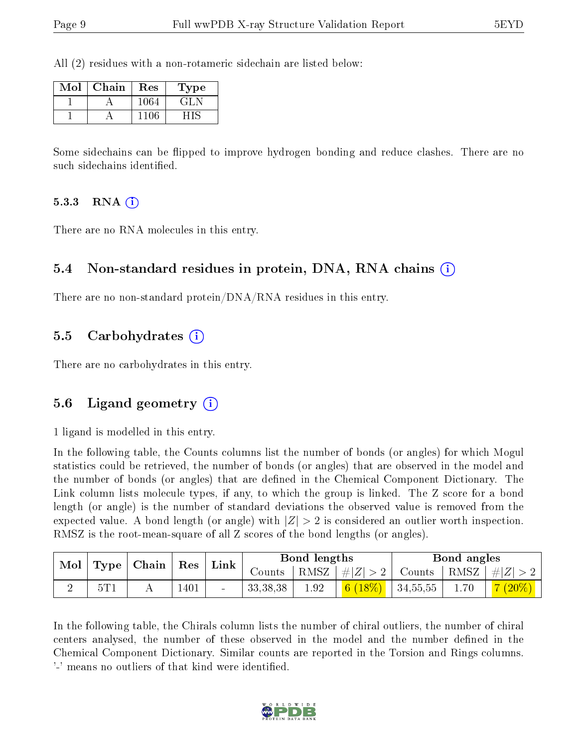All (2) residues with a non-rotameric sidechain are listed below:

| Mol | Chain | Res  | Type   |
|-----|-------|------|--------|
|     |       | 1064 | ا طلبی |
|     |       |      |        |

Some sidechains can be flipped to improve hydrogen bonding and reduce clashes. There are no such sidechains identified.

#### 5.3.3 RNA  $(i)$

There are no RNA molecules in this entry.

#### 5.4 Non-standard residues in protein, DNA, RNA chains (i)

There are no non-standard protein/DNA/RNA residues in this entry.

#### 5.5 Carbohydrates (i)

There are no carbohydrates in this entry.

#### 5.6 Ligand geometry (i)

1 ligand is modelled in this entry.

In the following table, the Counts columns list the number of bonds (or angles) for which Mogul statistics could be retrieved, the number of bonds (or angles) that are observed in the model and the number of bonds (or angles) that are defined in the Chemical Component Dictionary. The Link column lists molecule types, if any, to which the group is linked. The Z score for a bond length (or angle) is the number of standard deviations the observed value is removed from the expected value. A bond length (or angle) with  $|Z| > 2$  is considered an outlier worth inspection. RMSZ is the root-mean-square of all Z scores of the bond lengths (or angles).

| Mol |     | Type   Chain | Res  | Bond lengths<br>Link |            |          | Bond angles                                                                                                                                                                                                                                                                                                                                                                                                                                                                     |                              |      |                                      |
|-----|-----|--------------|------|----------------------|------------|----------|---------------------------------------------------------------------------------------------------------------------------------------------------------------------------------------------------------------------------------------------------------------------------------------------------------------------------------------------------------------------------------------------------------------------------------------------------------------------------------|------------------------------|------|--------------------------------------|
|     |     |              |      |                      | Counts-    | RMSZ     | $\overline{\phantom{a}}$ $\overline{\phantom{a}}$ $\overline{\phantom{a}}$ $\overline{\phantom{a}}$ $\overline{\phantom{a}}$ $\overline{\phantom{a}}$ $\overline{\phantom{a}}$ $\overline{\phantom{a}}$ $\overline{\phantom{a}}$ $\overline{\phantom{a}}$ $\overline{\phantom{a}}$ $\overline{\phantom{a}}$ $\overline{\phantom{a}}$ $\overline{\phantom{a}}$ $\overline{\phantom{a}}$ $\overline{\phantom{a}}$ $\overline{\phantom{a}}$ $\overline{\phantom{a}}$ $\overline{\$ | Counts   RMSZ $\vert \#  Z $ |      |                                      |
|     | 5T1 |              | 1401 | $\sim$               | 33, 38, 38 | $1.92\,$ | $6(18\%)$                                                                                                                                                                                                                                                                                                                                                                                                                                                                       | 34,55,55                     | 1.70 | $(20\%)$<br>$\overline{\phantom{a}}$ |

In the following table, the Chirals column lists the number of chiral outliers, the number of chiral centers analysed, the number of these observed in the model and the number defined in the Chemical Component Dictionary. Similar counts are reported in the Torsion and Rings columns. '-' means no outliers of that kind were identified.

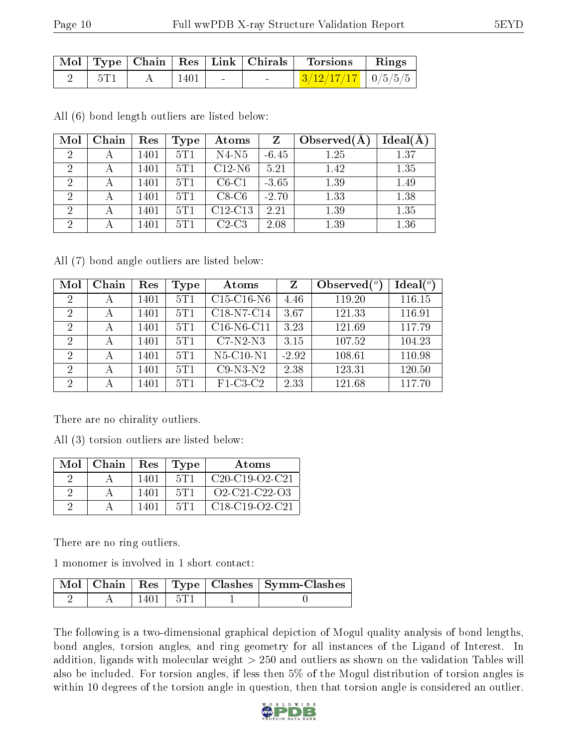|        |             |                                | Mol   Type   Chain   Res   Link   Chirals   Torsions   Rings |  |
|--------|-------------|--------------------------------|--------------------------------------------------------------|--|
| - 5T 1 | $\mid$ 1401 | <b>Contract Contract State</b> | $\frac{3}{12/17/17}$   0/5/5/5                               |  |

All (6) bond length outliers are listed below:

| Mol            | Chain | Res  | Type | Atoms     | Z       | Observed $(A$ | Ideal(A) |
|----------------|-------|------|------|-----------|---------|---------------|----------|
| $\overline{2}$ |       | 1401 | 5T1  | $N4-N5$   | $-6.45$ | 1.25          | 1.37     |
| $\overline{2}$ |       | 1401 | 5T1  | $C12-N6$  | 5.21    | 1.42          | 1.35     |
| $\overline{2}$ |       | 1401 | 5T 1 | $C6-C1$   | $-3.65$ | 1.39          | 1.49     |
| $\overline{2}$ | А     | 1401 | 5T1  | $C8-C6$   | $-2.70$ | 1.33          | 1.38     |
| $\overline{2}$ |       | 1401 | 5T1  | $C12-C13$ | 2.21    | 1.39          | 1.35     |
| 2              |       | 1401 | 5T1  | $C2-C3$   | 2.08    | 1.39          | 1.36     |

All (7) bond angle outliers are listed below:

| Mol            | Chain | Res  | Type | Atoms        | Z       | Observed $(^\circ)$ | $\text{Ideal}({}^o)$ |
|----------------|-------|------|------|--------------|---------|---------------------|----------------------|
| 2              | А     | 1401 | 5T1  | $C15-C16-N6$ | 4.46    | 119.20              | 116.15               |
| 2              | А     | 1401 | 5T1  | C18-N7-C14   | 3.67    | 121.33              | 116.91               |
| $\overline{2}$ | А     | 1401 | 5T1  | $C16-N6-C11$ | 3.23    | 121.69              | 117.79               |
| 2              | А     | 1401 | 5T1  | $C7-N2-N3$   | 3.15    | 107.52              | 104.23               |
| 2              | А     | 1401 | 5T1  | $N5-C10-N1$  | $-2.92$ | 108.61              | 110.98               |
| 2              | А     | 1401 | 5T1  | $C9-N3-N2$   | 2.38    | 123.31              | 120.50               |
| $\mathcal{D}$  |       | 1401 | 5T1  | $F1-C3-C2$   | 2.33    | 121.68              | 117.70               |

There are no chirality outliers.

All (3) torsion outliers are listed below:

| Mol | Chain | Res  | $\vert$ Type    | Atoms                                                            |
|-----|-------|------|-----------------|------------------------------------------------------------------|
|     |       | 1401 | 5T1             | $C20-C19-C2-C21$                                                 |
|     |       | 1401 | 5T <sub>1</sub> | O <sub>2</sub> -C <sub>21</sub> -C <sub>22</sub> -O <sub>3</sub> |
|     |       | 1401 | 5T1             | $C18-C19-O2-C21$                                                 |

There are no ring outliers.

1 monomer is involved in 1 short contact:

|  |        |        | Mol   Chain   Res   Type   Clashes   Symm-Clashes |
|--|--------|--------|---------------------------------------------------|
|  | 1401 - | -1 5T) |                                                   |

The following is a two-dimensional graphical depiction of Mogul quality analysis of bond lengths, bond angles, torsion angles, and ring geometry for all instances of the Ligand of Interest. In addition, ligands with molecular weight > 250 and outliers as shown on the validation Tables will also be included. For torsion angles, if less then 5% of the Mogul distribution of torsion angles is within 10 degrees of the torsion angle in question, then that torsion angle is considered an outlier.

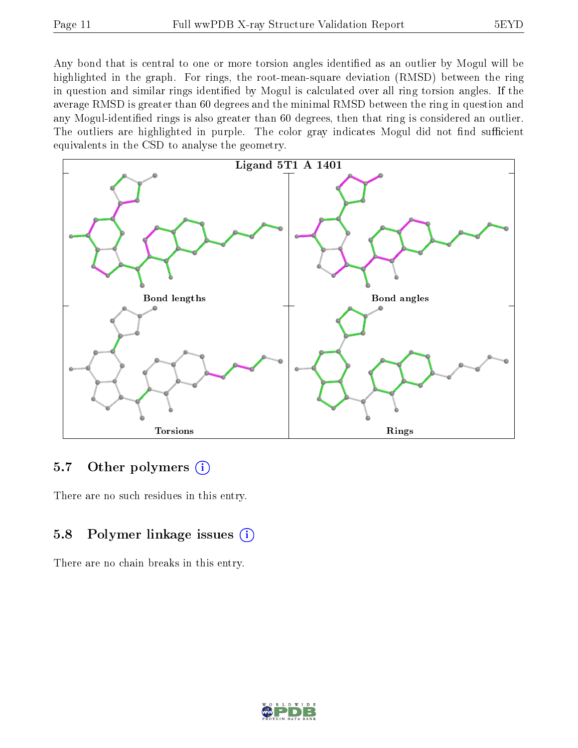Any bond that is central to one or more torsion angles identified as an outlier by Mogul will be highlighted in the graph. For rings, the root-mean-square deviation (RMSD) between the ring in question and similar rings identified by Mogul is calculated over all ring torsion angles. If the average RMSD is greater than 60 degrees and the minimal RMSD between the ring in question and any Mogul-identified rings is also greater than 60 degrees, then that ring is considered an outlier. The outliers are highlighted in purple. The color gray indicates Mogul did not find sufficient equivalents in the CSD to analyse the geometry.



### 5.7 [O](https://www.wwpdb.org/validation/2017/XrayValidationReportHelp#nonstandard_residues_and_ligands)ther polymers  $(i)$

There are no such residues in this entry.

### 5.8 Polymer linkage issues  $(i)$

There are no chain breaks in this entry.

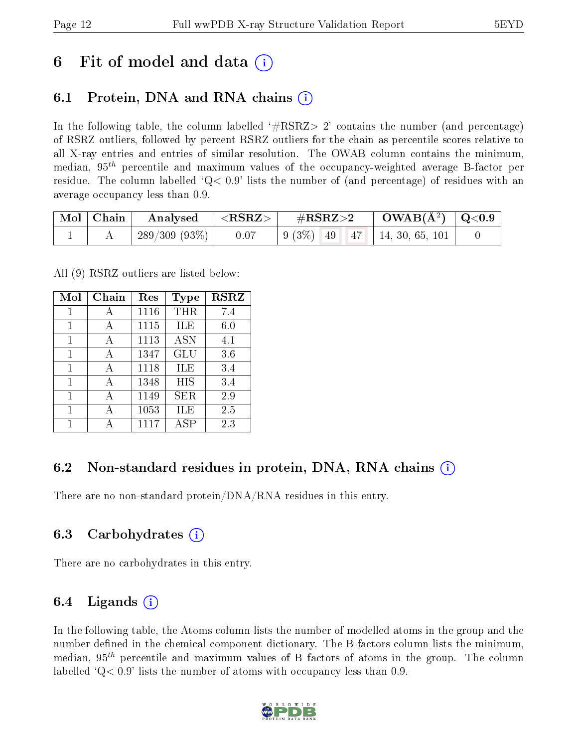### 6 Fit of model and data  $\left( \cdot \right)$

### 6.1 Protein, DNA and RNA chains (i)

In the following table, the column labelled  $#RSRZ>2'$  contains the number (and percentage) of RSRZ outliers, followed by percent RSRZ outliers for the chain as percentile scores relative to all X-ray entries and entries of similar resolution. The OWAB column contains the minimum, median,  $95<sup>th</sup>$  percentile and maximum values of the occupancy-weighted average B-factor per residue. The column labelled  $Q< 0.9$  lists the number of (and percentage) of residues with an average occupancy less than 0.9.

| $\vert$ Mol $\vert$ Chain $\vert$ | $\mid$ Analysed $ \langle \text{RSRZ}\rangle\mid$ | $\rm \#RSRZ{>}2$ | $\rm OWAB(\AA^2)~\mid Q\hspace{-0.05cm}<\hspace{-0.05cm}0.9$                                       |  |
|-----------------------------------|---------------------------------------------------|------------------|----------------------------------------------------------------------------------------------------|--|
|                                   | 289/309 (93%)   $0.07$                            |                  | $\begin{array}{ c c c c c c c c c } \hline 9 & 3\% & 49 & 47 & 14, 30, 65, 101 \hline \end{array}$ |  |

All (9) RSRZ outliers are listed below:

| Mol | Chain        | Res  | Type       | <b>RSRZ</b> |
|-----|--------------|------|------------|-------------|
| 1   |              | 1116 | THR        | 7.4         |
| 1   | A            | 1115 | ILE        | 6.0         |
| 1   | А            | 1113 | <b>ASN</b> | 4.1         |
| 1   | А            | 1347 | GLU        | 3.6         |
| 1   | $\mathbf{A}$ | 1118 | ILE        | 3.4         |
| 1   | А            | 1348 | HIS        | 3.4         |
| 1   | А            | 1149 | SER        | 2.9         |
| 1   | А            | 1053 | ILE        | 2.5         |
|     |              | 1117 | ASP        | 2.3         |

#### 6.2 Non-standard residues in protein, DNA, RNA chains  $(i)$

There are no non-standard protein/DNA/RNA residues in this entry.

#### 6.3 Carbohydrates (i)

There are no carbohydrates in this entry.

#### 6.4 Ligands  $(i)$

In the following table, the Atoms column lists the number of modelled atoms in the group and the number defined in the chemical component dictionary. The B-factors column lists the minimum, median,  $95<sup>th</sup>$  percentile and maximum values of B factors of atoms in the group. The column labelled  $Q< 0.9$  lists the number of atoms with occupancy less than 0.9.